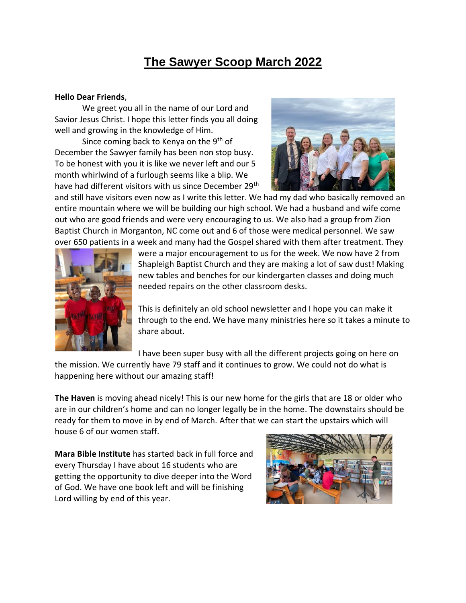## **The Sawyer Scoop March 2022**

## **Hello Dear Friends**,

We greet you all in the name of our Lord and Savior Jesus Christ. I hope this letter finds you all doing well and growing in the knowledge of Him.

Since coming back to Kenya on the 9<sup>th</sup> of December the Sawyer family has been non stop busy. To be honest with you it is like we never left and our 5 month whirlwind of a furlough seems like a blip. We have had different visitors with us since December 29<sup>th</sup>



and still have visitors even now as I write this letter. We had my dad who basically removed an entire mountain where we will be building our high school. We had a husband and wife come out who are good friends and were very encouraging to us. We also had a group from Zion Baptist Church in Morganton, NC come out and 6 of those were medical personnel. We saw over 650 patients in a week and many had the Gospel shared with them after treatment. They



were a major encouragement to us for the week. We now have 2 from Shapleigh Baptist Church and they are making a lot of saw dust! Making new tables and benches for our kindergarten classes and doing much needed repairs on the other classroom desks.

This is definitely an old school newsletter and I hope you can make it through to the end. We have many ministries here so it takes a minute to share about.

I have been super busy with all the different projects going on here on

the mission. We currently have 79 staff and it continues to grow. We could not do what is happening here without our amazing staff!

**The Haven** is moving ahead nicely! This is our new home for the girls that are 18 or older who are in our children's home and can no longer legally be in the home. The downstairs should be ready for them to move in by end of March. After that we can start the upstairs which will house 6 of our women staff.

**Mara Bible Institute** has started back in full force and every Thursday I have about 16 students who are getting the opportunity to dive deeper into the Word of God. We have one book left and will be finishing Lord willing by end of this year.

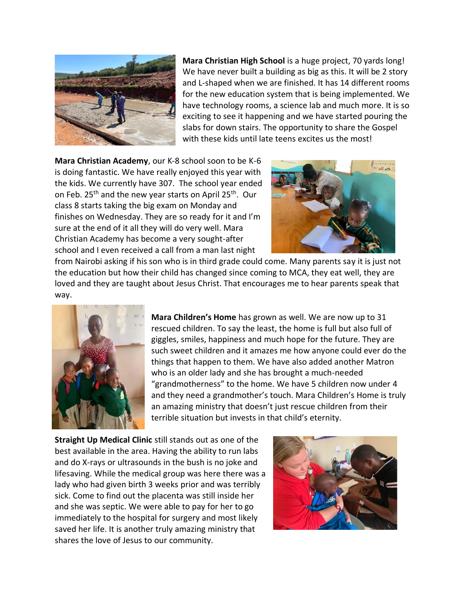

**Mara Christian High School** is a huge project, 70 yards long! We have never built a building as big as this. It will be 2 story and L-shaped when we are finished. It has 14 different rooms for the new education system that is being implemented. We have technology rooms, a science lab and much more. It is so exciting to see it happening and we have started pouring the slabs for down stairs. The opportunity to share the Gospel with these kids until late teens excites us the most!

**Mara Christian Academy**, our K-8 school soon to be K-6 is doing fantastic. We have really enjoyed this year with the kids. We currently have 307. The school year ended on Feb. 25<sup>th</sup> and the new year starts on April 25<sup>th</sup>. Our class 8 starts taking the big exam on Monday and finishes on Wednesday. They are so ready for it and I'm sure at the end of it all they will do very well. Mara Christian Academy has become a very sought-after school and I even received a call from a man last night



from Nairobi asking if his son who is in third grade could come. Many parents say it is just not the education but how their child has changed since coming to MCA, they eat well, they are loved and they are taught about Jesus Christ. That encourages me to hear parents speak that way.



**Mara Children's Home** has grown as well. We are now up to 31 rescued children. To say the least, the home is full but also full of giggles, smiles, happiness and much hope for the future. They are such sweet children and it amazes me how anyone could ever do the things that happen to them. We have also added another Matron who is an older lady and she has brought a much-needed "grandmotherness" to the home. We have 5 children now under 4 and they need a grandmother's touch. Mara Children's Home is truly an amazing ministry that doesn't just rescue children from their terrible situation but invests in that child's eternity.

**Straight Up Medical Clinic** still stands out as one of the best available in the area. Having the ability to run labs and do X-rays or ultrasounds in the bush is no joke and lifesaving. While the medical group was here there was a lady who had given birth 3 weeks prior and was terribly sick. Come to find out the placenta was still inside her and she was septic. We were able to pay for her to go immediately to the hospital for surgery and most likely saved her life. It is another truly amazing ministry that shares the love of Jesus to our community.

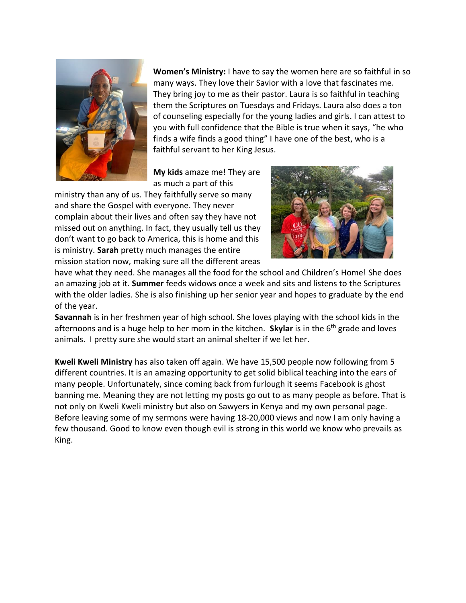

**Women's Ministry:** I have to say the women here are so faithful in so many ways. They love their Savior with a love that fascinates me. They bring joy to me as their pastor. Laura is so faithful in teaching them the Scriptures on Tuesdays and Fridays. Laura also does a ton of counseling especially for the young ladies and girls. I can attest to you with full confidence that the Bible is true when it says, "he who finds a wife finds a good thing" I have one of the best, who is a faithful servant to her King Jesus.

**My kids** amaze me! They are as much a part of this

ministry than any of us. They faithfully serve so many and share the Gospel with everyone. They never complain about their lives and often say they have not missed out on anything. In fact, they usually tell us they don't want to go back to America, this is home and this is ministry. **Sarah** pretty much manages the entire mission station now, making sure all the different areas



have what they need. She manages all the food for the school and Children's Home! She does an amazing job at it. **Summer** feeds widows once a week and sits and listens to the Scriptures with the older ladies. She is also finishing up her senior year and hopes to graduate by the end of the year.

**Savannah** is in her freshmen year of high school. She loves playing with the school kids in the afternoons and is a huge help to her mom in the kitchen. **Skylar** is in the 6th grade and loves animals. I pretty sure she would start an animal shelter if we let her.

**Kweli Kweli Ministry** has also taken off again. We have 15,500 people now following from 5 different countries. It is an amazing opportunity to get solid biblical teaching into the ears of many people. Unfortunately, since coming back from furlough it seems Facebook is ghost banning me. Meaning they are not letting my posts go out to as many people as before. That is not only on Kweli Kweli ministry but also on Sawyers in Kenya and my own personal page. Before leaving some of my sermons were having 18-20,000 views and now I am only having a few thousand. Good to know even though evil is strong in this world we know who prevails as King.